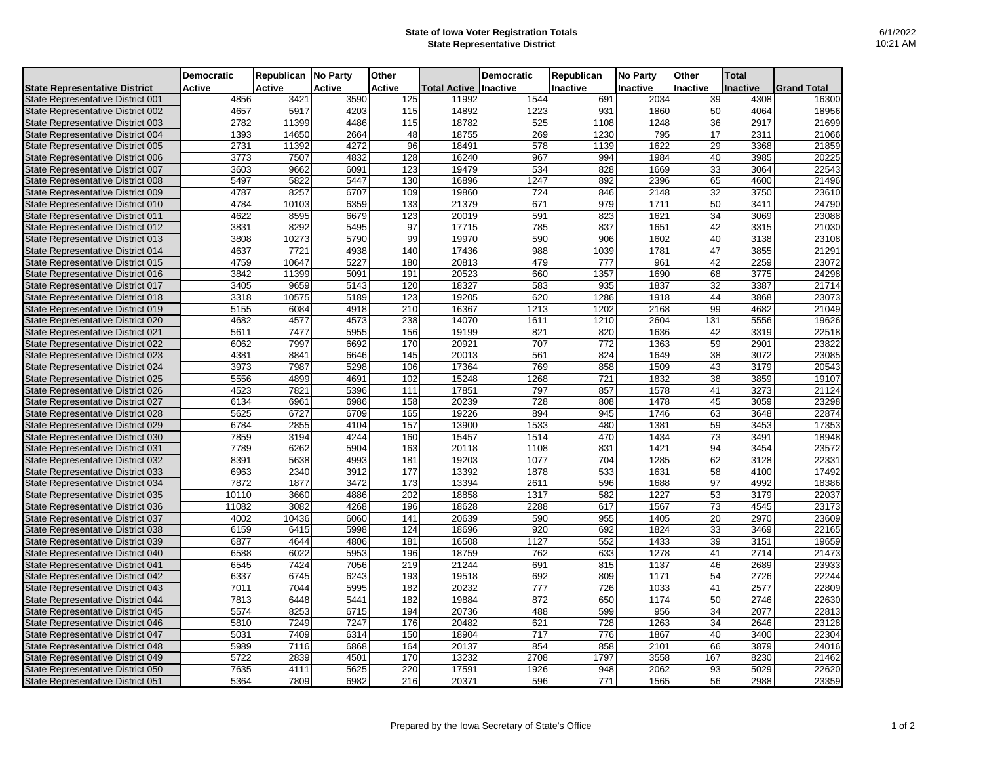## **State of Iowa Voter Registration Totals State Representative District**

|                                          | <b>Democratic</b> | Republican No Party |               | Other         |              | <b>Democratic</b> | Republican | <b>No Party</b> | Other           | <b>Total</b>    |                    |
|------------------------------------------|-------------------|---------------------|---------------|---------------|--------------|-------------------|------------|-----------------|-----------------|-----------------|--------------------|
| <b>State Representative District</b>     | Active            | <b>Active</b>       | <b>Active</b> | <b>Active</b> | Total Active | <b>Inactive</b>   | Inactive   | Inactive        | Inactive        | <b>Inactive</b> | <b>Grand Total</b> |
| State Representative District 001        | 4856              | 3421                | 3590          | 125           | 11992        | 1544              | 691        | 2034            | 39              | 4308            | 16300              |
| State Representative District 002        | 4657              | 5917                | 4203          | 115           | 14892        | 1223              | 931        | 1860            | 50              | 4064            | 18956              |
| State Representative District 003        | 2782              | 11399               | 4486          | 115           | 18782        | 525               | 1108       | 1248            | 36              | 2917            | 21699              |
| State Representative District 004        | 1393              | 14650               | 2664          | 48            | 18755        | 269               | 1230       | 795             | 17              | 2311            | 21066              |
| State Representative District 005        | 2731              | 11392               | 4272          | 96            | 18491        | 578               | 1139       | 1622            | 29              | 3368            | 21859              |
| State Representative District 006        | 3773              | 7507                | 4832          | 128           | 16240        | 967               | 994        | 1984            | 40              | 3985            | 20225              |
| State Representative District 007        | 3603              | 9662                | 6091          | 123           | 19479        | 534               | 828        | 1669            | $\overline{33}$ | 3064            | 22543              |
| State Representative District 008        | 5497              | 5822                | 5447          | 130           | 16896        | 1247              | 892        | 2396            | 65              | 4600            | 21496              |
| State Representative District 009        | 4787              | 8257                | 6707          | 109           | 19860        | 724               | 846        | 2148            | 32              | 3750            | 23610              |
| State Representative District 010        | 4784              | 10103               | 6359          | 133           | 21379        | 671               | 979        | 1711            | 50              | 3411            | 24790              |
| State Representative District 011        | 4622              | 8595                | 6679          | 123           | 20019        | 591               | 823        | 1621            | 34              | 3069            | 23088              |
| State Representative District 012        | 3831              | 8292                | 5495          | 97            | 17715        | 785               | 837        | 1651            | 42              | 3315            | 21030              |
| State Representative District 013        | 3808              | 10273               | 5790          | 99            | 19970        | 590               | 906        | 1602            | 40              | 3138            | 23108              |
| State Representative District 014        | 4637              | 7721                | 4938          | 140           | 17436        | 988               | 1039       | 1781            | 47              | 3855            | 21291              |
| State Representative District 015        | 4759              | 10647               | 5227          | 180           | 20813        | 479               | 777        | 961             | 42              | 2259            | 23072              |
| State Representative District 016        | 3842              | 11399               | 5091          | 191           | 20523        | 660               | 1357       | 1690            | 68              | 3775            | 24298              |
| State Representative District 017        | 3405              | 9659                | 5143          | 120           | 18327        | 583               | 935        | 1837            | $\overline{32}$ | 3387            | 21714              |
| State Representative District 018        | 3318              | 10575               | 5189          | 123           | 19205        | 620               | 1286       | 1918            | 44              | 3868            | 23073              |
| State Representative District 019        | 5155              | 6084                | 4918          | 210           | 16367        | 1213              | 1202       | 2168            | 99              | 4682            | 21049              |
| State Representative District 020        | 4682              | 4577                | 4573          | 238           | 14070        | 1611              | 1210       | 2604            | 131             | 5556            | 19626              |
| State Representative District 021        | 5611              | 7477                | 5955          | 156           | 19199        | 821               | 820        | 1636            | 42              | 3319            | 22518              |
| State Representative District 022        | 6062              | 7997                | 6692          | 170           | 20921        | 707               | 772        | 1363            | 59              | 2901            | 23822              |
| State Representative District 023        | 4381              | 8841                | 6646          | 145           | 20013        | 561               | 824        | 1649            | $\overline{38}$ | 3072            | 23085              |
| State Representative District 024        | 3973              | 7987                | 5298          | 106           | 17364        | 769               | 858        | 1509            | 43              | 3179            | 20543              |
| State Representative District 025        | 5556              | 4899                | 4691          | 102           | 15248        | 1268              | 721        | 1832            | 38              | 3859            | 19107              |
| State Representative District 026        | 4523              | 7821                | 5396          | 111           | 17851        | 797               | 857        | 1578            | 41              | 3273            | 21124              |
| State Representative District 027        | 6134              | 6961                | 6986          | 158           | 20239        | 728               | 808        | 1478            | 45              | 3059            | 23298              |
| State Representative District 028        | 5625              | 6727                | 6709          | 165           | 19226        | 894               | 945        | 1746            | 63              | 3648            | 22874              |
| State Representative District 029        | 6784              | 2855                | 4104          | 157           | 13900        | 1533              | 480        | 1381            | 59              | 3453            | 17353              |
| State Representative District 030        | 7859              | 3194                | 4244          | 160           | 15457        | 1514              | 470        | 1434            | 73              | 3491            | 18948              |
| State Representative District 031        | 7789              | 6262                | 5904          | 163           | 20118        | 1108              | 831        | 1421            | 94              | 3454            | 23572              |
| State Representative District 032        | 8391              | 5638                | 4993          | 181           | 19203        | 1077              | 704        | 1285            | 62              | 3128            | 22331              |
| <b>State Representative District 033</b> | 6963              | 2340                | 3912          | 177           | 13392        | 1878              | 533        | 1631            | 58              | 4100            | 17492              |
| State Representative District 034        | 7872              | 1877                | 3472          | 173           | 13394        | 2611              | 596        | 1688            | 97              | 4992            | 18386              |
| State Representative District 035        | 10110             | 3660                | 4886          | 202           | 18858        | 1317              | 582        | 1227            | $\overline{53}$ | 3179            | 22037              |
| State Representative District 036        | 11082             | 3082                | 4268          | 196           | 18628        | 2288              | 617        | 1567            | 73              | 4545            | 23173              |
| State Representative District 037        | 4002              | 10436               | 6060          | 141           | 20639        | 590               | 955        | 1405            | 20              | 2970            | 23609              |
| State Representative District 038        | 6159              | 6415                | 5998          | 124           | 18696        | 920               | 692        | 1824            | $\overline{33}$ | 3469            | 22165              |
| State Representative District 039        | 6877              | 4644                | 4806          | 181           | 16508        | 1127              | 552        | 1433            | 39              | 3151            | 19659              |
| State Representative District 040        | 6588              | 6022                | 5953          | 196           | 18759        | 762               | 633        | 1278            | 41              | 2714            | 21473              |
| State Representative District 041        | 6545              | 7424                | 7056          | 219           | 21244        | 691               | 815        | 1137            | 46              | 2689            | 23933              |
| State Representative District 042        | 6337              | 6745                | 6243          | 193           | 19518        | 692               | 809        | 1171            | 54              | 2726            | 22244              |
| State Representative District 043        | 7011              | 7044                | 5995          | 182           | 20232        | 777               | 726        | 1033            | 41              | 2577            | 22809              |
| State Representative District 044        | 7813              | 6448                | 5441          | 182           | 19884        | 872               | 650        | 1174            | 50              | 2746            | 22630              |
| State Representative District 045        | 5574              | 8253                | 6715          | 194           | 20736        | 488               | 599        | 956             | 34              | 2077            | 22813              |
| State Representative District 046        | 5810              | 7249                | 7247          | 176           | 20482        | 621               | 728        | 1263            | 34              | 2646            | 23128              |
| State Representative District 047        | 5031              | 7409                | 6314          | 150           | 18904        | 717               | 776        | 1867            | 40              | 3400            | 22304              |
| State Representative District 048        | 5989              | 7116                | 6868          | 164           | 20137        | 854               | 858        | 2101            | 66              | 3879            | 24016              |
| State Representative District 049        | 5722              | 2839                | 4501          | 170           | 13232        | 2708              | 1797       | 3558            | 167             | 8230            | 21462              |
| State Representative District 050        | 7635              | 4111                | 5625          | 220           | 17591        | 1926              | 948        | 2062            | 93              | 5029            | 22620              |
| State Representative District 051        | 5364              | 7809                | 6982          | 216           | 20371        | 596               | 771        | 1565            | 56              | 2988            | 23359              |